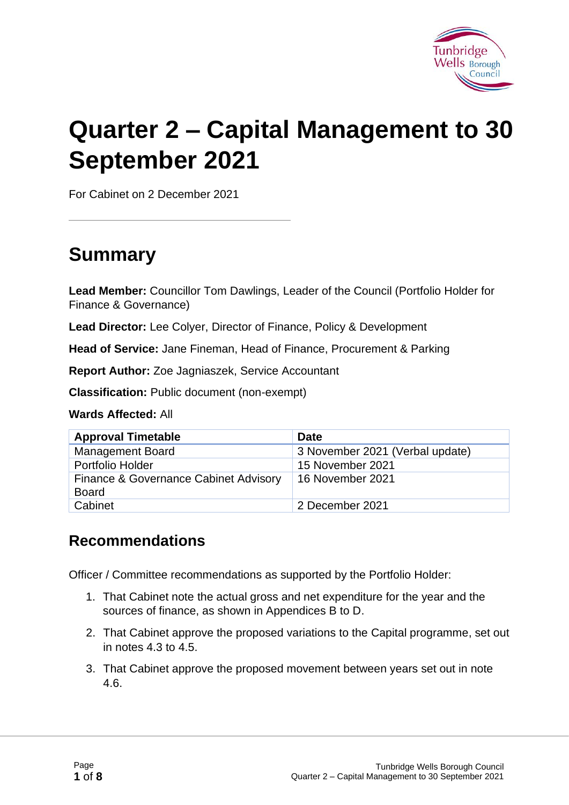

# **Quarter 2 – Capital Management to 30 September 2021**

For Cabinet on 2 December 2021

# **Summary**

**Lead Member:** Councillor Tom Dawlings, Leader of the Council (Portfolio Holder for Finance & Governance)

**Lead Director:** Lee Colyer, Director of Finance, Policy & Development

**Head of Service:** Jane Fineman, Head of Finance, Procurement & Parking

**Report Author:** Zoe Jagniaszek, Service Accountant

**Classification:** Public document (non-exempt)

**Wards Affected:** All

| <b>Approval Timetable</b>                             | <b>Date</b>                     |
|-------------------------------------------------------|---------------------------------|
| <b>Management Board</b>                               | 3 November 2021 (Verbal update) |
| Portfolio Holder                                      | 15 November 2021                |
| Finance & Governance Cabinet Advisory<br><b>Board</b> | 16 November 2021                |
| Cabinet                                               | 2 December 2021                 |

#### **Recommendations**

Officer / Committee recommendations as supported by the Portfolio Holder:

- 1. That Cabinet note the actual gross and net expenditure for the year and the sources of finance, as shown in Appendices B to D.
- 2. That Cabinet approve the proposed variations to the Capital programme, set out in notes 4.3 to 4.5.
- 3. That Cabinet approve the proposed movement between years set out in note 4.6.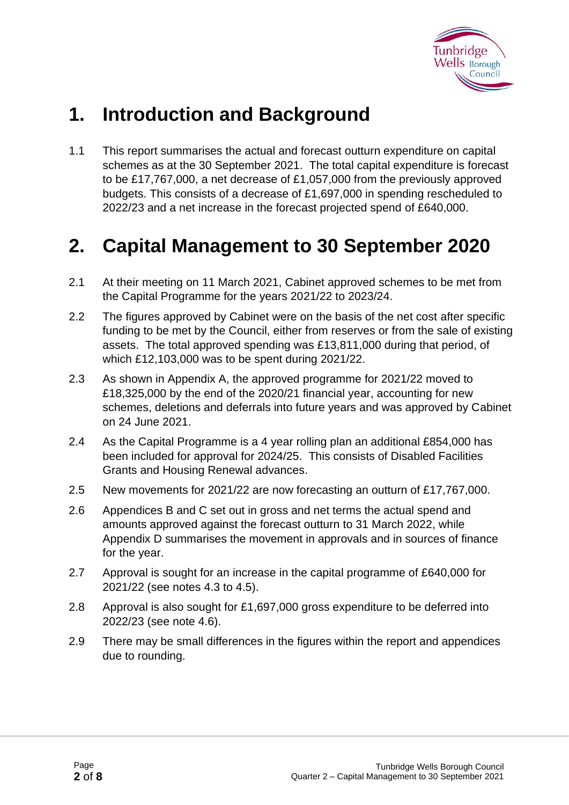

# **1. Introduction and Background**

1.1 This report summarises the actual and forecast outturn expenditure on capital schemes as at the 30 September 2021. The total capital expenditure is forecast to be £17,767,000, a net decrease of £1,057,000 from the previously approved budgets. This consists of a decrease of £1,697,000 in spending rescheduled to 2022/23 and a net increase in the forecast projected spend of £640,000.

# **2. Capital Management to 30 September 2020**

- 2.1 At their meeting on 11 March 2021, Cabinet approved schemes to be met from the Capital Programme for the years 2021/22 to 2023/24.
- 2.2 The figures approved by Cabinet were on the basis of the net cost after specific funding to be met by the Council, either from reserves or from the sale of existing assets. The total approved spending was £13,811,000 during that period, of which £12,103,000 was to be spent during 2021/22.
- 2.3 As shown in Appendix A, the approved programme for 2021/22 moved to £18,325,000 by the end of the 2020/21 financial year, accounting for new schemes, deletions and deferrals into future years and was approved by Cabinet on 24 June 2021.
- 2.4 As the Capital Programme is a 4 year rolling plan an additional £854,000 has been included for approval for 2024/25. This consists of Disabled Facilities Grants and Housing Renewal advances.
- 2.5 New movements for 2021/22 are now forecasting an outturn of £17,767,000.
- 2.6 Appendices B and C set out in gross and net terms the actual spend and amounts approved against the forecast outturn to 31 March 2022, while Appendix D summarises the movement in approvals and in sources of finance for the year.
- 2.7 Approval is sought for an increase in the capital programme of £640,000 for 2021/22 (see notes 4.3 to 4.5).
- 2.8 Approval is also sought for £1,697,000 gross expenditure to be deferred into 2022/23 (see note 4.6).
- 2.9 There may be small differences in the figures within the report and appendices due to rounding.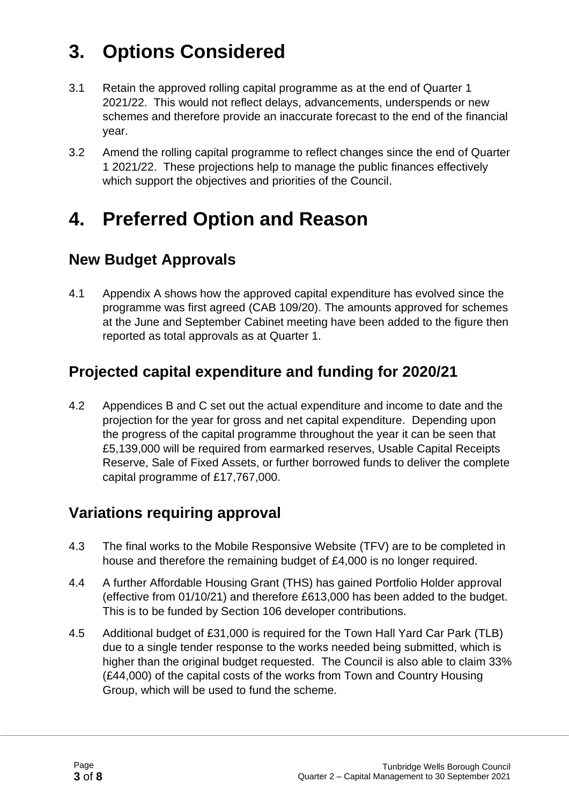# **3. Options Considered**

- 3.1 Retain the approved rolling capital programme as at the end of Quarter 1 2021/22. This would not reflect delays, advancements, underspends or new schemes and therefore provide an inaccurate forecast to the end of the financial year.
- 3.2 Amend the rolling capital programme to reflect changes since the end of Quarter 1 2021/22. These projections help to manage the public finances effectively which support the objectives and priorities of the Council.

### **4. Preferred Option and Reason**

#### **New Budget Approvals**

4.1 Appendix A shows how the approved capital expenditure has evolved since the programme was first agreed (CAB 109/20). The amounts approved for schemes at the June and September Cabinet meeting have been added to the figure then reported as total approvals as at Quarter 1.

#### **Projected capital expenditure and funding for 2020/21**

4.2 Appendices B and C set out the actual expenditure and income to date and the projection for the year for gross and net capital expenditure. Depending upon the progress of the capital programme throughout the year it can be seen that £5,139,000 will be required from earmarked reserves, Usable Capital Receipts Reserve, Sale of Fixed Assets, or further borrowed funds to deliver the complete capital programme of £17,767,000.

#### **Variations requiring approval**

- 4.3 The final works to the Mobile Responsive Website (TFV) are to be completed in house and therefore the remaining budget of £4,000 is no longer required.
- 4.4 A further Affordable Housing Grant (THS) has gained Portfolio Holder approval (effective from 01/10/21) and therefore £613,000 has been added to the budget. This is to be funded by Section 106 developer contributions.
- 4.5 Additional budget of £31,000 is required for the Town Hall Yard Car Park (TLB) due to a single tender response to the works needed being submitted, which is higher than the original budget requested. The Council is also able to claim 33% (£44,000) of the capital costs of the works from Town and Country Housing Group, which will be used to fund the scheme.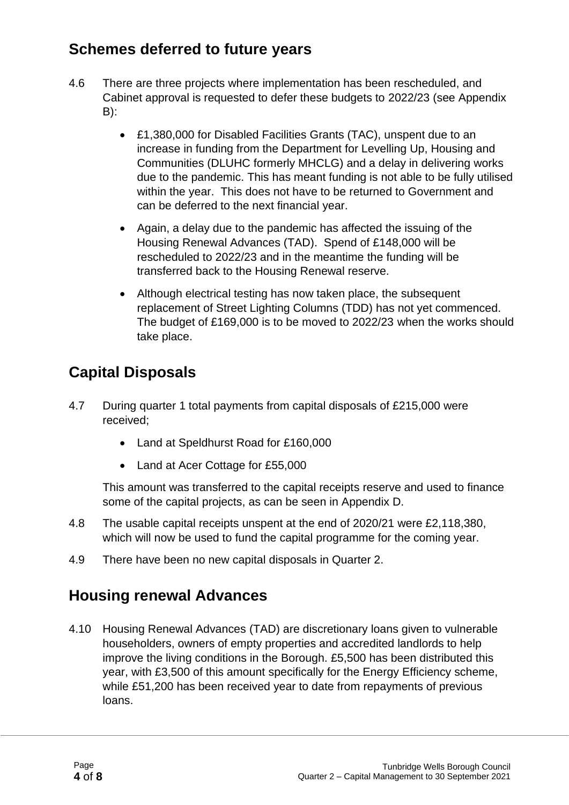#### **Schemes deferred to future years**

- 4.6 There are three projects where implementation has been rescheduled, and Cabinet approval is requested to defer these budgets to 2022/23 (see Appendix B):
	- £1,380,000 for Disabled Facilities Grants (TAC), unspent due to an increase in funding from the Department for Levelling Up, Housing and Communities (DLUHC formerly MHCLG) and a delay in delivering works due to the pandemic. This has meant funding is not able to be fully utilised within the year. This does not have to be returned to Government and can be deferred to the next financial year.
	- Again, a delay due to the pandemic has affected the issuing of the Housing Renewal Advances (TAD). Spend of £148,000 will be rescheduled to 2022/23 and in the meantime the funding will be transferred back to the Housing Renewal reserve.
	- Although electrical testing has now taken place, the subsequent replacement of Street Lighting Columns (TDD) has not yet commenced. The budget of £169,000 is to be moved to 2022/23 when the works should take place.

### **Capital Disposals**

- 4.7 During quarter 1 total payments from capital disposals of £215,000 were received;
	- Land at Speldhurst Road for £160,000
	- Land at Acer Cottage for £55,000

This amount was transferred to the capital receipts reserve and used to finance some of the capital projects, as can be seen in Appendix D.

- 4.8 The usable capital receipts unspent at the end of 2020/21 were £2,118,380, which will now be used to fund the capital programme for the coming year.
- 4.9 There have been no new capital disposals in Quarter 2.

#### **Housing renewal Advances**

4.10 Housing Renewal Advances (TAD) are discretionary loans given to vulnerable householders, owners of empty properties and accredited landlords to help improve the living conditions in the Borough. £5,500 has been distributed this year, with £3,500 of this amount specifically for the Energy Efficiency scheme, while £51,200 has been received year to date from repayments of previous loans.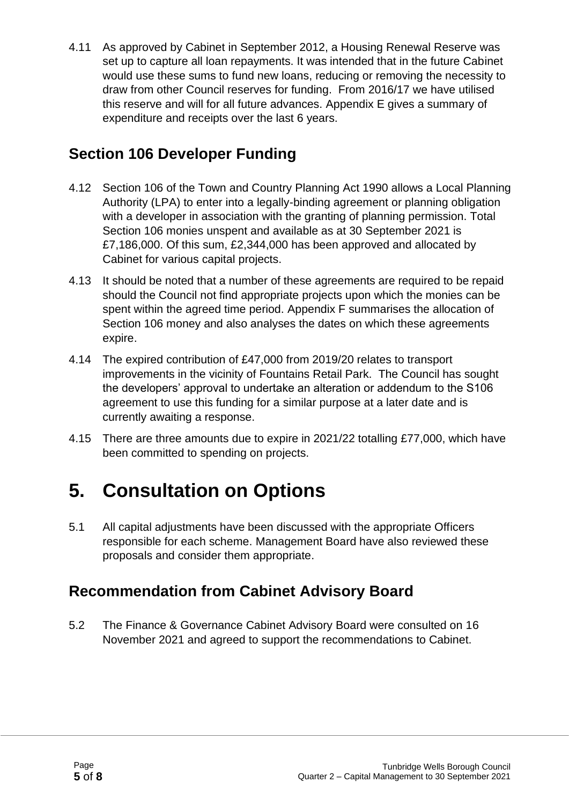4.11 As approved by Cabinet in September 2012, a Housing Renewal Reserve was set up to capture all loan repayments. It was intended that in the future Cabinet would use these sums to fund new loans, reducing or removing the necessity to draw from other Council reserves for funding. From 2016/17 we have utilised this reserve and will for all future advances. Appendix E gives a summary of expenditure and receipts over the last 6 years.

#### **Section 106 Developer Funding**

- 4.12 Section 106 of the Town and Country Planning Act 1990 allows a Local Planning Authority (LPA) to enter into a legally-binding agreement or planning obligation with a developer in association with the granting of planning permission. Total Section 106 monies unspent and available as at 30 September 2021 is £7,186,000. Of this sum, £2,344,000 has been approved and allocated by Cabinet for various capital projects.
- 4.13 It should be noted that a number of these agreements are required to be repaid should the Council not find appropriate projects upon which the monies can be spent within the agreed time period. Appendix F summarises the allocation of Section 106 money and also analyses the dates on which these agreements expire.
- 4.14 The expired contribution of £47,000 from 2019/20 relates to transport improvements in the vicinity of Fountains Retail Park. The Council has sought the developers' approval to undertake an alteration or addendum to the S106 agreement to use this funding for a similar purpose at a later date and is currently awaiting a response.
- 4.15 There are three amounts due to expire in 2021/22 totalling £77,000, which have been committed to spending on projects.

# **5. Consultation on Options**

5.1 All capital adjustments have been discussed with the appropriate Officers responsible for each scheme. Management Board have also reviewed these proposals and consider them appropriate.

#### **Recommendation from Cabinet Advisory Board**

5.2 The Finance & Governance Cabinet Advisory Board were consulted on 16 November 2021 and agreed to support the recommendations to Cabinet.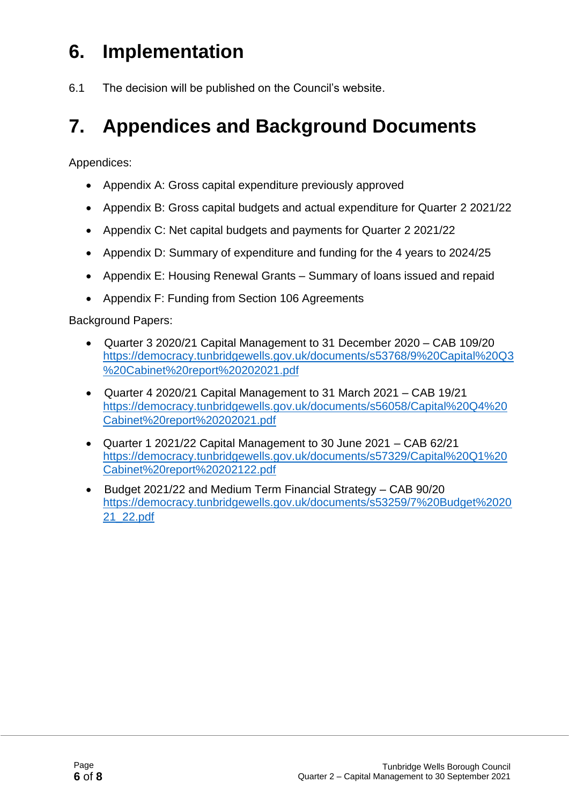# **6. Implementation**

6.1 The decision will be published on the Council's website.

# **7. Appendices and Background Documents**

Appendices:

- Appendix A: Gross capital expenditure previously approved
- Appendix B: Gross capital budgets and actual expenditure for Quarter 2 2021/22
- Appendix C: Net capital budgets and payments for Quarter 2 2021/22
- Appendix D: Summary of expenditure and funding for the 4 years to 2024/25
- Appendix E: Housing Renewal Grants Summary of loans issued and repaid
- Appendix F: Funding from Section 106 Agreements

Background Papers:

- Quarter 3 2020/21 Capital Management to 31 December 2020 CAB 109/20 https://democracy.tunbridgewells.gov.uk/documents/s53768/9%20Capital%20Q3 %20Cabinet%20report%20202021.pdf
- Quarter 4 2020/21 Capital Management to 31 March 2021 CAB 19/21 [https://democracy.tunbridgewells.gov.uk/documents/s56058/Capital%20Q4%20](https://democracy.tunbridgewells.gov.uk/documents/s56058/Capital%20Q4%20Cabinet%20report%20202021.pdf) [Cabinet%20report%20202021.pdf](https://democracy.tunbridgewells.gov.uk/documents/s56058/Capital%20Q4%20Cabinet%20report%20202021.pdf)
- Quarter 1 2021/22 Capital Management to 30 June 2021 CAB 62/21 [https://democracy.tunbridgewells.gov.uk/documents/s57329/Capital%20Q1%20](https://democracy.tunbridgewells.gov.uk/documents/s57329/Capital%20Q1%20Cabinet%20report%20202122.pdf) [Cabinet%20report%20202122.pdf](https://democracy.tunbridgewells.gov.uk/documents/s57329/Capital%20Q1%20Cabinet%20report%20202122.pdf)
- Budget 2021/22 and Medium Term Financial Strategy CAB 90/20 https://democracy.tunbridgewells.gov.uk/documents/s53259/7%20Budget%2020 21\_22.pdf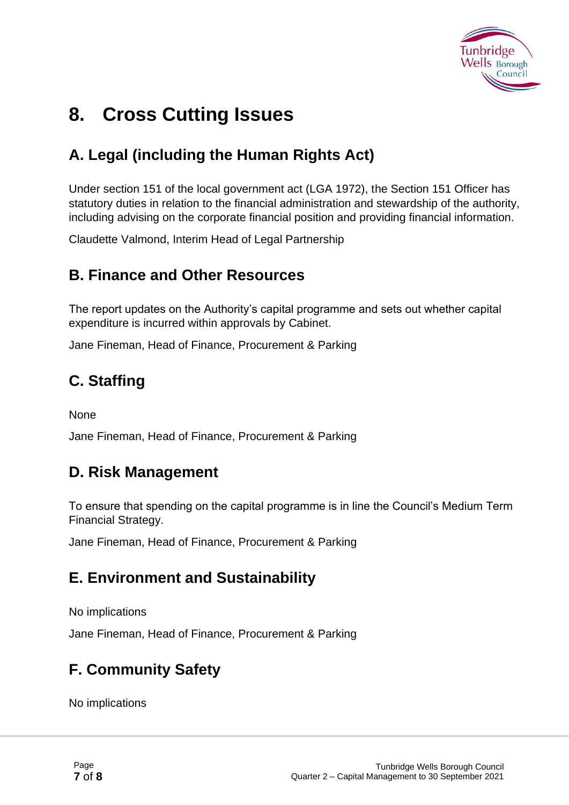

# **8. Cross Cutting Issues**

### **A. Legal (including the Human Rights Act)**

Under section 151 of the local government act (LGA 1972), the Section 151 Officer has statutory duties in relation to the financial administration and stewardship of the authority, including advising on the corporate financial position and providing financial information.

Claudette Valmond, Interim Head of Legal Partnership

#### **B. Finance and Other Resources**

The report updates on the Authority's capital programme and sets out whether capital expenditure is incurred within approvals by Cabinet.

Jane Fineman, Head of Finance, Procurement & Parking

#### **C. Staffing**

None

Jane Fineman, Head of Finance, Procurement & Parking

#### **D. Risk Management**

To ensure that spending on the capital programme is in line the Council's Medium Term Financial Strategy.

Jane Fineman, Head of Finance, Procurement & Parking

#### **E. Environment and Sustainability**

No implications

Jane Fineman, Head of Finance, Procurement & Parking

### **F. Community Safety**

No implications